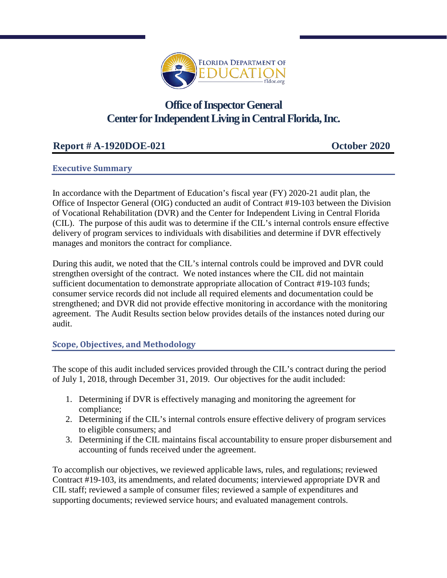

# **Office of Inspector General Center for Independent Living in Central Florida, Inc.**

# **Report # A-1920DOE-021 October 2020**

# **Executive Summary**

In accordance with the Department of Education's fiscal year (FY) 2020-21 audit plan, the Office of Inspector General (OIG) conducted an audit of Contract #19-103 between the Division of Vocational Rehabilitation (DVR) and the Center for Independent Living in Central Florida (CIL). The purpose of this audit was to determine if the CIL's internal controls ensure effective delivery of program services to individuals with disabilities and determine if DVR effectively manages and monitors the contract for compliance.

During this audit, we noted that the CIL's internal controls could be improved and DVR could strengthen oversight of the contract. We noted instances where the CIL did not maintain sufficient documentation to demonstrate appropriate allocation of Contract #19-103 funds; consumer service records did not include all required elements and documentation could be strengthened; and DVR did not provide effective monitoring in accordance with the monitoring agreement. The Audit Results section below provides details of the instances noted during our audit.

## **Scope, Objectives, and Methodology**

The scope of this audit included services provided through the CIL's contract during the period of July 1, 2018, through December 31, 2019. Our objectives for the audit included:

- 1. Determining if DVR is effectively managing and monitoring the agreement for compliance;
- 2. Determining if the CIL's internal controls ensure effective delivery of program services to eligible consumers; and
- 3. Determining if the CIL maintains fiscal accountability to ensure proper disbursement and accounting of funds received under the agreement.

To accomplish our objectives, we reviewed applicable laws, rules, and regulations; reviewed Contract #19-103, its amendments, and related documents; interviewed appropriate DVR and CIL staff; reviewed a sample of consumer files; reviewed a sample of expenditures and supporting documents; reviewed service hours; and evaluated management controls.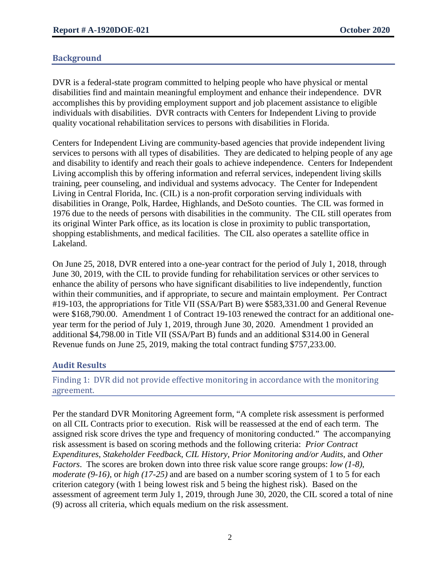## **Background**

DVR is a federal-state program committed to helping people who have physical or mental disabilities find and maintain meaningful employment and enhance their independence. DVR accomplishes this by providing employment support and job placement assistance to eligible individuals with disabilities. DVR contracts with Centers for Independent Living to provide quality vocational rehabilitation services to persons with disabilities in Florida.

Centers for Independent Living are community-based agencies that provide independent living services to persons with all types of disabilities. They are dedicated to helping people of any age and disability to identify and reach their goals to achieve independence. Centers for Independent Living accomplish this by offering information and referral services, independent living skills training, peer counseling, and individual and systems advocacy. The Center for Independent Living in Central Florida, Inc. (CIL) is a non-profit corporation serving individuals with disabilities in Orange, Polk, Hardee, Highlands, and DeSoto counties. The CIL was formed in 1976 due to the needs of persons with disabilities in the community. The CIL still operates from its original Winter Park office, as its location is close in proximity to public transportation, shopping establishments, and medical facilities. The CIL also operates a satellite office in Lakeland.

On June 25, 2018, DVR entered into a one-year contract for the period of July 1, 2018, through June 30, 2019, with the CIL to provide funding for rehabilitation services or other services to enhance the ability of persons who have significant disabilities to live independently, function within their communities, and if appropriate, to secure and maintain employment. Per Contract #19-103, the appropriations for Title VII (SSA/Part B) were \$583,331.00 and General Revenue were \$168,790.00. Amendment 1 of Contract 19-103 renewed the contract for an additional oneyear term for the period of July 1, 2019, through June 30, 2020. Amendment 1 provided an additional \$4,798.00 in Title VII (SSA/Part B) funds and an additional \$314.00 in General Revenue funds on June 25, 2019, making the total contract funding \$757,233.00.

## **Audit Results**

## Finding 1: DVR did not provide effective monitoring in accordance with the monitoring agreement.

Per the standard DVR Monitoring Agreement form, "A complete risk assessment is performed on all CIL Contracts prior to execution. Risk will be reassessed at the end of each term. The assigned risk score drives the type and frequency of monitoring conducted." The accompanying risk assessment is based on scoring methods and the following criteria: *Prior Contract Expenditures*, *Stakeholder Feedback*, *CIL History*, *Prior Monitoring and/or Audits*, and *Other Factors*.The scores are broken down into three risk value score range groups: *low (1-8)*, *moderate (9-16)*, or *high (17-25)* and are based on a number scoring system of 1 to 5 for each criterion category (with 1 being lowest risk and 5 being the highest risk).Based on the assessment of agreement term July 1, 2019, through June 30, 2020, the CIL scored a total of nine (9) across all criteria, which equals medium on the risk assessment.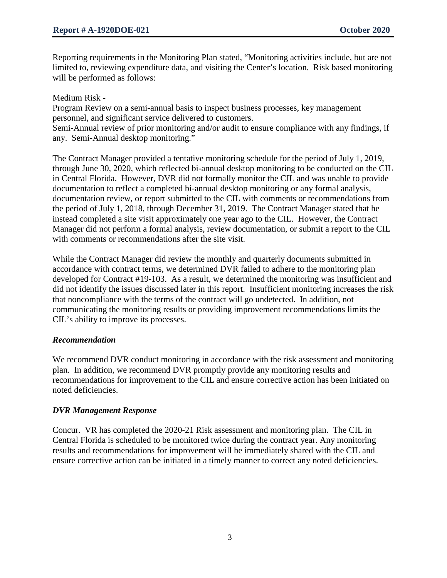Reporting requirements in the Monitoring Plan stated, "Monitoring activities include, but are not limited to, reviewing expenditure data, and visiting the Center's location. Risk based monitoring will be performed as follows:

Medium Risk -

Program Review on a semi-annual basis to inspect business processes, key management personnel, and significant service delivered to customers.

Semi-Annual review of prior monitoring and/or audit to ensure compliance with any findings, if any. Semi-Annual desktop monitoring."

The Contract Manager provided a tentative monitoring schedule for the period of July 1, 2019, through June 30, 2020, which reflected bi-annual desktop monitoring to be conducted on the CIL in Central Florida. However, DVR did not formally monitor the CIL and was unable to provide documentation to reflect a completed bi-annual desktop monitoring or any formal analysis, documentation review, or report submitted to the CIL with comments or recommendations from the period of July 1, 2018, through December 31, 2019. The Contract Manager stated that he instead completed a site visit approximately one year ago to the CIL. However, the Contract Manager did not perform a formal analysis, review documentation, or submit a report to the CIL with comments or recommendations after the site visit.

While the Contract Manager did review the monthly and quarterly documents submitted in accordance with contract terms, we determined DVR failed to adhere to the monitoring plan developed for Contract #19-103. As a result, we determined the monitoring was insufficient and did not identify the issues discussed later in this report. Insufficient monitoring increases the risk that noncompliance with the terms of the contract will go undetected. In addition, not communicating the monitoring results or providing improvement recommendations limits the CIL's ability to improve its processes.

## *Recommendation*

We recommend DVR conduct monitoring in accordance with the risk assessment and monitoring plan. In addition, we recommend DVR promptly provide any monitoring results and recommendations for improvement to the CIL and ensure corrective action has been initiated on noted deficiencies.

## *DVR Management Response*

Concur. VR has completed the 2020-21 Risk assessment and monitoring plan. The CIL in Central Florida is scheduled to be monitored twice during the contract year. Any monitoring results and recommendations for improvement will be immediately shared with the CIL and ensure corrective action can be initiated in a timely manner to correct any noted deficiencies.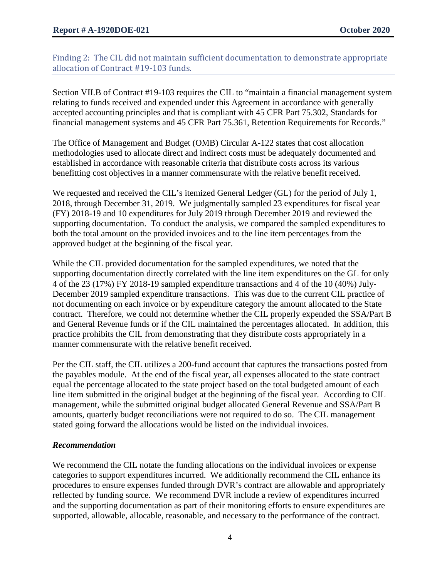Finding 2: The CIL did not maintain sufficient documentation to demonstrate appropriate allocation of Contract #19-103 funds.

Section VII.B of Contract #19-103 requires the CIL to "maintain a financial management system relating to funds received and expended under this Agreement in accordance with generally accepted accounting principles and that is compliant with 45 CFR Part 75.302, Standards for financial management systems and 45 CFR Part 75.361, Retention Requirements for Records."

The Office of Management and Budget (OMB) Circular A-122 states that cost allocation methodologies used to allocate direct and indirect costs must be adequately documented and established in accordance with reasonable criteria that distribute costs across its various benefitting cost objectives in a manner commensurate with the relative benefit received.

We requested and received the CIL's itemized General Ledger (GL) for the period of July 1, 2018, through December 31, 2019. We judgmentally sampled 23 expenditures for fiscal year (FY) 2018-19 and 10 expenditures for July 2019 through December 2019 and reviewed the supporting documentation. To conduct the analysis, we compared the sampled expenditures to both the total amount on the provided invoices and to the line item percentages from the approved budget at the beginning of the fiscal year.

While the CIL provided documentation for the sampled expenditures, we noted that the supporting documentation directly correlated with the line item expenditures on the GL for only 4 of the 23 (17%) FY 2018-19 sampled expenditure transactions and 4 of the 10 (40%) July-December 2019 sampled expenditure transactions. This was due to the current CIL practice of not documenting on each invoice or by expenditure category the amount allocated to the State contract. Therefore, we could not determine whether the CIL properly expended the SSA/Part B and General Revenue funds or if the CIL maintained the percentages allocated. In addition, this practice prohibits the CIL from demonstrating that they distribute costs appropriately in a manner commensurate with the relative benefit received.

Per the CIL staff, the CIL utilizes a 200-fund account that captures the transactions posted from the payables module. At the end of the fiscal year, all expenses allocated to the state contract equal the percentage allocated to the state project based on the total budgeted amount of each line item submitted in the original budget at the beginning of the fiscal year. According to CIL management, while the submitted original budget allocated General Revenue and SSA/Part B amounts, quarterly budget reconciliations were not required to do so. The CIL management stated going forward the allocations would be listed on the individual invoices.

## *Recommendation*

We recommend the CIL notate the funding allocations on the individual invoices or expense categories to support expenditures incurred. We additionally recommend the CIL enhance its procedures to ensure expenses funded through DVR's contract are allowable and appropriately reflected by funding source. We recommend DVR include a review of expenditures incurred and the supporting documentation as part of their monitoring efforts to ensure expenditures are supported, allowable, allocable, reasonable, and necessary to the performance of the contract.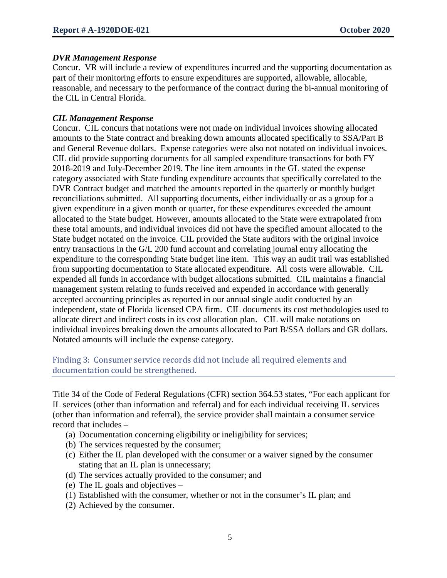#### *DVR Management Response*

Concur. VR will include a review of expenditures incurred and the supporting documentation as part of their monitoring efforts to ensure expenditures are supported, allowable, allocable, reasonable, and necessary to the performance of the contract during the bi-annual monitoring of the CIL in Central Florida.

### *CIL Management Response*

Concur. CIL concurs that notations were not made on individual invoices showing allocated amounts to the State contract and breaking down amounts allocated specifically to SSA/Part B and General Revenue dollars. Expense categories were also not notated on individual invoices. CIL did provide supporting documents for all sampled expenditure transactions for both FY 2018-2019 and July-December 2019. The line item amounts in the GL stated the expense category associated with State funding expenditure accounts that specifically correlated to the DVR Contract budget and matched the amounts reported in the quarterly or monthly budget reconciliations submitted. All supporting documents, either individually or as a group for a given expenditure in a given month or quarter, for these expenditures exceeded the amount allocated to the State budget. However, amounts allocated to the State were extrapolated from these total amounts, and individual invoices did not have the specified amount allocated to the State budget notated on the invoice. CIL provided the State auditors with the original invoice entry transactions in the G/L 200 fund account and correlating journal entry allocating the expenditure to the corresponding State budget line item. This way an audit trail was established from supporting documentation to State allocated expenditure. All costs were allowable. CIL expended all funds in accordance with budget allocations submitted. CIL maintains a financial management system relating to funds received and expended in accordance with generally accepted accounting principles as reported in our annual single audit conducted by an independent, state of Florida licensed CPA firm. CIL documents its cost methodologies used to allocate direct and indirect costs in its cost allocation plan. CIL will make notations on individual invoices breaking down the amounts allocated to Part B/SSA dollars and GR dollars. Notated amounts will include the expense category.

Finding 3: Consumer service records did not include all required elements and documentation could be strengthened.

Title 34 of the Code of Federal Regulations (CFR) section 364.53 states, "For each applicant for IL services (other than information and referral) and for each individual receiving IL services (other than information and referral), the service provider shall maintain a consumer service record that includes –

- (a) Documentation concerning eligibility or ineligibility for services;
- (b) The services requested by the consumer;
- (c) Either the IL plan developed with the consumer or a waiver signed by the consumer stating that an IL plan is unnecessary;
- (d) The services actually provided to the consumer; and
- (e) The IL goals and objectives –
- (1) Established with the consumer, whether or not in the consumer's IL plan; and
- (2) Achieved by the consumer.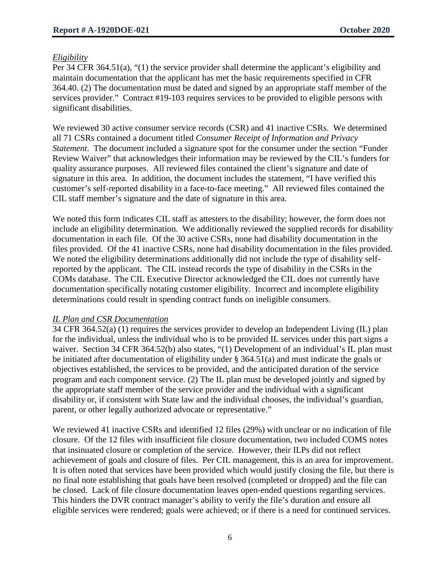### *Eligibility*

Per 34 CFR 364.51(a), "(1) the service provider shall determine the applicant's eligibility and maintain documentation that the applicant has met the basic requirements specified in CFR 364.40. (2) The documentation must be dated and signed by an appropriate staff member of the services provider." Contract #19-103 requires services to be provided to eligible persons with significant disabilities.

We reviewed 30 active consumer service records (CSR) and 41 inactive CSRs. We determined all 71 CSRs contained a document titled *Consumer Receipt of Information and Privacy Statement*. The document included a signature spot for the consumer under the section "Funder Review Waiver" that acknowledges their information may be reviewed by the CIL's funders for quality assurance purposes. All reviewed files contained the client's signature and date of signature in this area. In addition, the document includes the statement, "I have verified this customer's self-reported disability in a face-to-face meeting." All reviewed files contained the CIL staff member's signature and the date of signature in this area.

We noted this form indicates CIL staff as attesters to the disability; however, the form does not include an eligibility determination. We additionally reviewed the supplied records for disability documentation in each file. Of the 30 active CSRs, none had disability documentation in the files provided. Of the 41 inactive CSRs, none had disability documentation in the files provided. We noted the eligibility determinations additionally did not include the type of disability selfreported by the applicant. The CIL instead records the type of disability in the CSRs in the COMs database. The CIL Executive Director acknowledged the CIL does not currently have documentation specifically notating customer eligibility. Incorrect and incomplete eligibility determinations could result in spending contract funds on ineligible consumers.

#### *IL Plan and CSR Documentation*

34 CFR 364.52(a) (1) requires the services provider to develop an Independent Living (IL) plan for the individual, unless the individual who is to be provided IL services under this part signs a waiver. Section 34 CFR 364.52(b) also states, "(1) Development of an individual's IL plan must be initiated after documentation of eligibility under § 364.51(a) and must indicate the goals or objectives established, the services to be provided, and the anticipated duration of the service program and each component service. (2) The IL plan must be developed jointly and signed by the appropriate staff member of the service provider and the individual with a significant disability or, if consistent with State law and the individual chooses, the individual's guardian, parent, or other legally authorized advocate or representative."

We reviewed 41 inactive CSRs and identified 12 files (29%) with unclear or no indication of file closure. Of the 12 files with insufficient file closure documentation, two included COMS notes that insinuated closure or completion of the service. However, their ILPs did not reflect achievement of goals and closure of files. Per CIL management, this is an area for improvement. It is often noted that services have been provided which would justify closing the file, but there is no final note establishing that goals have been resolved (completed or dropped) and the file can be closed. Lack of file closure documentation leaves open-ended questions regarding services. This hinders the DVR contract manager's ability to verify the file's duration and ensure all eligible services were rendered; goals were achieved; or if there is a need for continued services.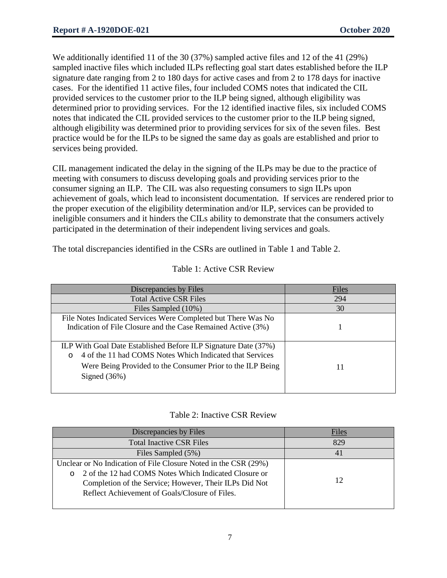We additionally identified 11 of the 30 (37%) sampled active files and 12 of the 41 (29%) sampled inactive files which included ILPs reflecting goal start dates established before the ILP signature date ranging from 2 to 180 days for active cases and from 2 to 178 days for inactive cases. For the identified 11 active files, four included COMS notes that indicated the CIL provided services to the customer prior to the ILP being signed, although eligibility was determined prior to providing services. For the 12 identified inactive files, six included COMS notes that indicated the CIL provided services to the customer prior to the ILP being signed, although eligibility was determined prior to providing services for six of the seven files. Best practice would be for the ILPs to be signed the same day as goals are established and prior to services being provided.

CIL management indicated the delay in the signing of the ILPs may be due to the practice of meeting with consumers to discuss developing goals and providing services prior to the consumer signing an ILP. The CIL was also requesting consumers to sign ILPs upon achievement of goals, which lead to inconsistent documentation. If services are rendered prior to the proper execution of the eligibility determination and/or ILP, services can be provided to ineligible consumers and it hinders the CILs ability to demonstrate that the consumers actively participated in the determination of their independent living services and goals.

The total discrepancies identified in the CSRs are outlined in Table 1 and Table 2.

| Discrepancies by Files                                                                                                                                                                                                | Files |
|-----------------------------------------------------------------------------------------------------------------------------------------------------------------------------------------------------------------------|-------|
| <b>Total Active CSR Files</b>                                                                                                                                                                                         | 294   |
| Files Sampled (10%)                                                                                                                                                                                                   | 30    |
| File Notes Indicated Services Were Completed but There Was No<br>Indication of File Closure and the Case Remained Active (3%)                                                                                         |       |
| ILP With Goal Date Established Before ILP Signature Date (37%)<br>4 of the 11 had COMS Notes Which Indicated that Services<br>$\circ$<br>Were Being Provided to the Consumer Prior to the ILP Being<br>Signed $(36%)$ | 11    |

# Table 1: Active CSR Review

## Table 2: Inactive CSR Review

| Discrepancies by Files                                                                                                                                                                                                                          | Files |
|-------------------------------------------------------------------------------------------------------------------------------------------------------------------------------------------------------------------------------------------------|-------|
| <b>Total Inactive CSR Files</b>                                                                                                                                                                                                                 | 829   |
| Files Sampled (5%)                                                                                                                                                                                                                              | 41    |
| Unclear or No Indication of File Closure Noted in the CSR (29%)<br>2 of the 12 had COMS Notes Which Indicated Closure or<br>$\circ$<br>Completion of the Service; However, Their ILPs Did Not<br>Reflect Achievement of Goals/Closure of Files. | 12    |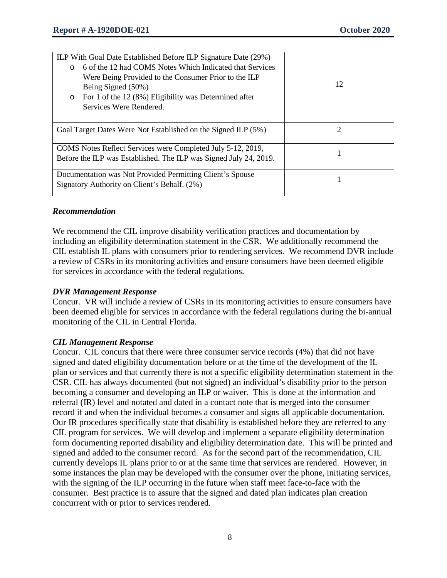| ILP With Goal Date Established Before ILP Signature Date (29%)<br>6 of the 12 had COMS Notes Which Indicated that Services<br>$\Omega$<br>Were Being Provided to the Consumer Prior to the ILP<br>Being Signed (50%)<br>For 1 of the 12 (8%) Eligibility was Determined after<br>$\circ$<br>Services Were Rendered. | 12 |
|---------------------------------------------------------------------------------------------------------------------------------------------------------------------------------------------------------------------------------------------------------------------------------------------------------------------|----|
| Goal Target Dates Were Not Established on the Signed ILP (5%)                                                                                                                                                                                                                                                       | 2  |
| COMS Notes Reflect Services were Completed July 5-12, 2019,<br>Before the ILP was Established. The ILP was Signed July 24, 2019.                                                                                                                                                                                    |    |
| Documentation was Not Provided Permitting Client's Spouse<br>Signatory Authority on Client's Behalf. (2%)                                                                                                                                                                                                           |    |

## *Recommendation*

We recommend the CIL improve disability verification practices and documentation by including an eligibility determination statement in the CSR. We additionally recommend the CIL establish IL plans with consumers prior to rendering services. We recommend DVR include a review of CSRs in its monitoring activities and ensure consumers have been deemed eligible for services in accordance with the federal regulations.

#### *DVR Management Response*

Concur. VR will include a review of CSRs in its monitoring activities to ensure consumers have been deemed eligible for services in accordance with the federal regulations during the bi-annual monitoring of the CIL in Central Florida.

## *CIL Management Response*

Concur. CIL concurs that there were three consumer service records (4%) that did not have signed and dated eligibility documentation before or at the time of the development of the IL plan or services and that currently there is not a specific eligibility determination statement in the CSR. CIL has always documented (but not signed) an individual's disability prior to the person becoming a consumer and developing an ILP or waiver. This is done at the information and referral (IR) level and notated and dated in a contact note that is merged into the consumer record if and when the individual becomes a consumer and signs all applicable documentation. Our IR procedures specifically state that disability is established before they are referred to any CIL program for services. We will develop and implement a separate eligibility determination form documenting reported disability and eligibility determination date. This will be printed and signed and added to the consumer record. As for the second part of the recommendation, CIL currently develops IL plans prior to or at the same time that services are rendered. However, in some instances the plan may be developed with the consumer over the phone, initiating services, with the signing of the ILP occurring in the future when staff meet face-to-face with the consumer. Best practice is to assure that the signed and dated plan indicates plan creation concurrent with or prior to services rendered.